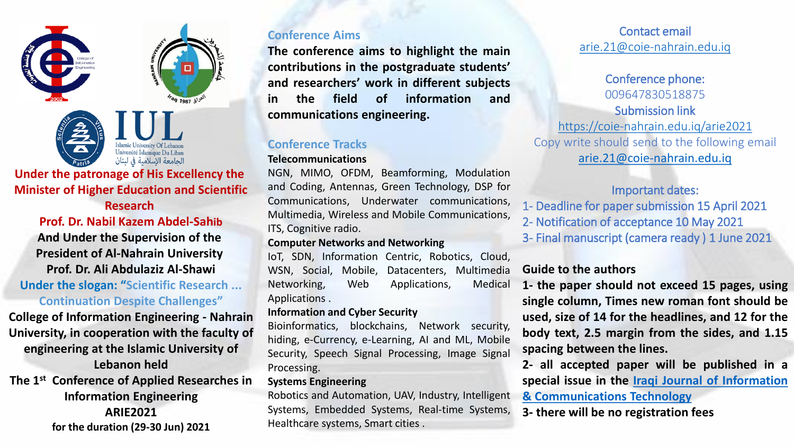



# الجامعة الإسلامية في لبنان

## **Under the patronage of His Excellency the Minister of Higher Education and Scientific**

**Research** 

**Prof. Dr. Nabil Kazem Abdel-Sahib And Under the Supervision of the President of Al-Nahrain University Prof. Dr. Ali Abdulaziz Al-Shawi Under the slogan: "Scientific Research ... Continuation Despite Challenges"**

**College of Information Engineering - Nahrain University, in cooperation with the faculty of engineering at the Islamic University of Lebanon held The 1 st Conference of Applied Researches in Information Engineering ARIE2021 for the duration (29-30 Jun) 2021**

# **Conference Aims**

**The conference aims to highlight the main contributions in the postgraduate students' and researchers' work in different subjects in the field of information and communications engineering.**

# **Conference Tracks**

## **Telecommunications**

NGN, MIMO, OFDM, Beamforming, Modulation and Coding, Antennas, Green Technology, DSP for Communications, Underwater communications, Multimedia, Wireless and Mobile Communications, ITS, Cognitive radio.

## **Computer Networks and Networking**

IoT, SDN, Information Centric, Robotics, Cloud, WSN, Social, Mobile, Datacenters, Multimedia Networking, Web Applications, Medical Applications .

## **Information and Cyber Security**

Bioinformatics, blockchains, Network security, hiding, e-Currency, e-Learning, AI and ML, Mobile Security, Speech Signal Processing, Image Signal Processing.

## **Systems Engineering**

Robotics and Automation, UAV, Industry, Intelligent Systems, Embedded Systems, Real-time Systems, Healthcare systems, Smart cities .

# Contact email [arie.21@coie-nahrain.edu.iq](mailto:arie.21@coie-nahrain.edu.iq)

Conference phone: 009647830518875 Submission link <https://coie-nahrain.edu.iq/arie2021> Copy write should send to the following email [arie.21@coie-nahrain.edu.iq](mailto:arie.21@coie-nahrain.edu.iq)

# Important dates:

- 1- Deadline for papersubmission 15 April 2021
- 2- Notification of acceptance 10 May 2021
- 3- Final manuscript (camera ready ) 1 June 2021

# **Guide to the authors**

**1- the paper should not exceed 15 pages, using single column, Times new roman font should be used, size of 14 for the headlines, and 12 for the body text, 2.5 margin from the sides, and 1.15 spacing between the lines.**

**2- all accepted paper will be published in a special issue in the Iraqi Journal of Information**

**& [Communications](https://ijict.edu.iq/index.php/index) Technology**

**3- there will be no registration fees**